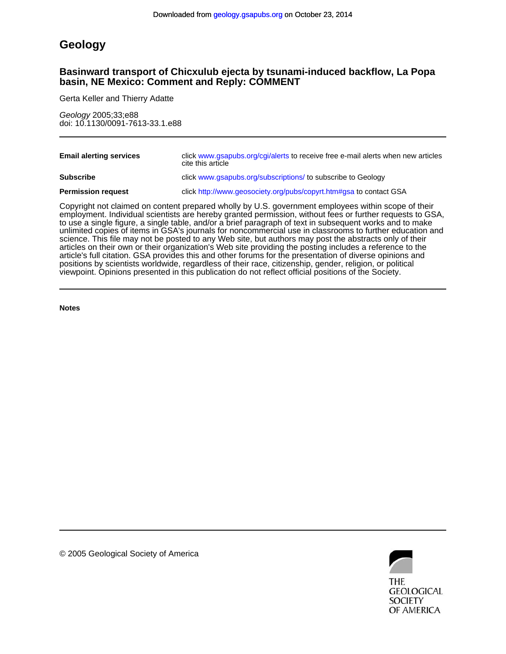# **Geology**

# **basin, NE Mexico: Comment and Reply: COMMENT Basinward transport of Chicxulub ejecta by tsunami-induced backflow, La Popa**

Gerta Keller and Thierry Adatte

doi: 10.1130/0091-7613-33.1.e88 Geology 2005;33;e88

| <b>Email alerting services</b> | click www.gsapubs.org/cgi/alerts to receive free e-mail alerts when new articles<br>cite this article                                                                                                                              |
|--------------------------------|------------------------------------------------------------------------------------------------------------------------------------------------------------------------------------------------------------------------------------|
| <b>Subscribe</b>               | click www.gsapubs.org/subscriptions/ to subscribe to Geology                                                                                                                                                                       |
| <b>Permission request</b>      | click http://www.geosociety.org/pubs/copyrt.htm#gsa to contact GSA                                                                                                                                                                 |
|                                | $\bullet$ , and the contract of the contract of the contract of the contract of the contract of the contract of the contract of the contract of the contract of the contract of the contract of the contract of the contract of th |

viewpoint. Opinions presented in this publication do not reflect official positions of the Society. positions by scientists worldwide, regardless of their race, citizenship, gender, religion, or political article's full citation. GSA provides this and other forums for the presentation of diverse opinions and articles on their own or their organization's Web site providing the posting includes a reference to the science. This file may not be posted to any Web site, but authors may post the abstracts only of their unlimited copies of items in GSA's journals for noncommercial use in classrooms to further education and to use a single figure, a single table, and/or a brief paragraph of text in subsequent works and to make employment. Individual scientists are hereby granted permission, without fees or further requests to GSA, Copyright not claimed on content prepared wholly by U.S. government employees within scope of their

**Notes**



© 2005 Geological Society of America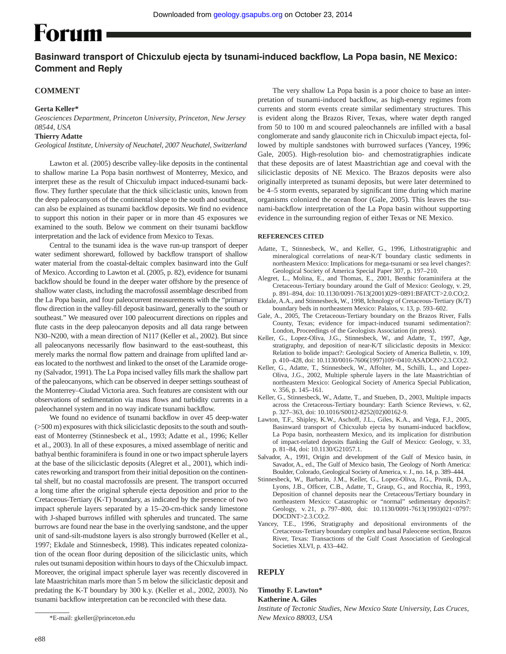# **Forum**

# Basinward transport of Chicxulub ejecta by tsunami-induced backflow, La Popa basin, NE Mexico: **Comment and Reply**

# **COMMENT**

## **Gerta Keller\***

*Geosciences Department, Princeton University, Princeton, New Jersey 08544, USA*

#### **Thierry Adatte**

*Geological Institute, University of Neuchatel, 2007 Neuchatel, Switzerland*

Lawton et al. (2005) describe valley-like deposits in the continental to shallow marine La Popa basin northwest of Monterrey, Mexico, and interpret these as the result of Chicxulub impact induced-tsunami backflow. They further speculate that the thick siliciclastic units, known from the deep paleocanyons of the continental slope to the south and southeast, can also be explained as tsunami backflow deposits. We find no evidence to support this notion in their paper or in more than 45 exposures we examined to the south. Below we comment on their tsunami backflow interpretation and the lack of evidence from Mexico to Texas.

Central to the tsunami idea is the wave run-up transport of deeper water sediment shoreward, followed by backflow transport of shallow water material from the coastal-deltaic complex basinward into the Gulf of Mexico. According to Lawton et al. (2005, p. 82), evidence for tsunami backflow should be found in the deeper water offshore by the presence of shallow water clasts, including the macrofossil assemblage described from the La Popa basin, and four paleocurrent measurements with the "primary flow direction in the valley-fill deposit basinward, generally to the south or southeast." We measured over 100 paleocurrent directions on ripples and flute casts in the deep paleocanyon deposits and all data range between N30–N200, with a mean direction of N117 (Keller et al., 2002). But since all paleocanyons necessarily flow basinward to the east-southeast, this merely marks the normal flow pattern and drainage from uplifted land areas located to the northwest and linked to the onset of the Laramide orogeny (Salvador, 1991). The La Popa incised valley fills mark the shallow part of the paleocanyons, which can be observed in deeper settings southeast of the Monterrey–Ciudad Victoria area. Such features are consistent with our observations of sedimentation via mass flows and turbidity currents in a paleochannel system and in no way indicate tsunami backflow.

We found no evidence of tsunami backflow in over 45 deep-water (>500 m) exposures with thick siliciclastic deposits to the south and southeast of Monterrey (Stinnesbeck et al., 1993; Adatte et al., 1996; Keller et al., 2003). In all of these exposures, a mixed assemblage of neritic and bathyal benthic foraminifera is found in one or two impact spherule layers at the base of the siliciclastic deposits (Alegret et al., 2001), which indicates reworking and transport from their initial deposition on the continental shelf, but no coastal macrofossils are present. The transport occurred a long time after the original spherule ejecta deposition and prior to the Cretaceous-Tertiary (K-T) boundary, as indicated by the presence of two impact spherule layers separated by a 15–20-cm-thick sandy limestone with J-shaped burrows infilled with spherules and truncated. The same burrows are found near the base in the overlying sandstone, and the upper unit of sand-silt-mudstone layers is also strongly burrowed (Keller et al., 1997; Ekdale and Stinnesbeck, 1998). This indicates repeated colonization of the ocean floor during deposition of the siliciclastic units, which rules out tsunami deposition within hours to days of the Chicxulub impact. Moreover, the original impact spherule layer was recently discovered in late Maastrichitan marls more than 5 m below the siliciclastic deposit and predating the K-T boundary by 300 k.y. (Keller et al., 2002, 2003). No tsunami backflow interpretation can be reconciled with these data.

The very shallow La Popa basin is a poor choice to base an interpretation of tsunami-induced backflow, as high-energy regimes from currents and storm events create similar sedimentary structures. This is evident along the Brazos River, Texas, where water depth ranged from 50 to 100 m and scoured paleochannels are infilled with a basal conglomerate and sandy glauconite rich in Chicxulub impact ejecta, followed by multiple sandstones with burrowed surfaces (Yancey, 1996; Gale, 2005). High-resolution bio- and chemostratigraphies indicate that these deposits are of latest Maastrichtian age and coeval with the siliciclastic deposits of NE Mexico. The Brazos deposits were also originally interpreted as tsunami deposits, but were later determined to be 4–5 storm events, separated by significant time during which marine organisms colonized the ocean floor (Gale, 2005). This leaves the tsunami-backflow interpretation of the La Popa basin without supporting evidence in the surrounding region of either Texas or NE Mexico.

#### **REFERENCES CITED**

- Adatte, T., Stinnesbeck, W., and Keller, G., 1996, Lithostratigraphic and mineralogical correlations of near-K/T boundary clastic sediments in northeastern Mexico: Implications for mega-tsunami or sea level changes?: Geological Society of America Special Paper 307, p. 197–210.
- Alegret, L., Molina, E., and Thomas, E., 2001, Benthic foraminifera at the Cretaceous-Tertiary boundary around the Gulf of Mexico: Geology, v. 29, p. 891–894, doi: 10.1130/0091-7613(2001)029<0891:BFATCT>2.0.CO;2.
- Ekdale, A.A., and Stinnesbeck, W., 1998, Ichnology of Cretaceous-Tertiary (K/T) boundary beds in northeastern Mexico: Palaios, v. 13, p. 593–602.
- Gale, A., 2005, The Cretaceous-Tertiary boundary on the Brazos River, Falls County, Texas; evidence for impact-induced tsunami sedimentation?: London, Proceedings of the Geologists Association (in press).
- Keller, G., Lopez-Oliva, J.G., Stinnesbeck, W., and Adatte, T., 1997, Age, stratigraphy, and deposition of near-K/T siliciclastic deposits in Mexico: Relation to bolide impact?: Geological Society of America Bulletin, v. 109, p. 410–428, doi: 10.1130/0016-7606(1997)109<0410:ASADON>2.3.CO;2.
- Keller, G., Adatte, T., Stinnesbeck, W., Affolter, M., Schilli, L., and Lopez-Oliva, J.G., 2002, Multiple spherule layers in the late Maastrichtian of northeastern Mexico: Geological Society of America Special Publication, v. 356, p. 145–161.
- Keller, G., Stinnesbeck, W., Adatte, T., and Stueben, D., 2003, Multiple impacts across the Cretaceous-Tertiary boundary: Earth Science Reviews, v. 62, p. 327–363, doi: 10.1016/S0012-8252(02)00162-9.
- Lawton, T.F., Shipley, K.W., Aschoff, J.L., Giles, K.A., and Vega, F.J., 2005, Basinward transport of Chicxulub ejecta by tsunami-induced backflow, La Popa basin, northeastern Mexico, and its implication for distribution of impact-related deposits flanking the Gulf of Mexico: Geology, v. 33, p. 81–84, doi: 10.1130/G21057.1.
- Salvador, A., 1991, Origin and development of the Gulf of Mexico basin, *in* Savador, A., ed., The Gulf of Mexico basin, The Geology of North America: Boulder, Colorado, Geological Society of America, v. J., no. 14, p. 389–444.
- Stinnesbeck, W., Barbarin, J.M., Keller, G., Lopez-Oliva, J.G., Pivnik, D.A., Lyons, J.B., Officer, C.B., Adatte, T., Graup, G., and Rocchia, R., 1993, Deposition of channel deposits near the Cretaceous/Tertiary boundary in northeastern Mexico: Catastrophic or "normal" sedimentary deposits?: Geology, v. 21, p. 797–800, doi: 10.1130/0091-7613(1993)021<0797: DOCDNT>2.3.CO;2.
- Yancey, T.E., 1996, Stratigraphy and depositional environments of the Cretaceous-Tertiary boundary complex and basal Paleocene section, Brazos River, Texas: Transactions of the Gulf Coast Association of Geological Societies XLVI, p. 433–442.

## **REPLY**

# **Timothy F. Lawton\***

## **Katherine A. Giles**

*Institute of Tectonic Studies, New Mexico State University, Las Cruces, New Mexico 88003, USA*

<sup>\*</sup>E-mail: gkeller@princeton.edu